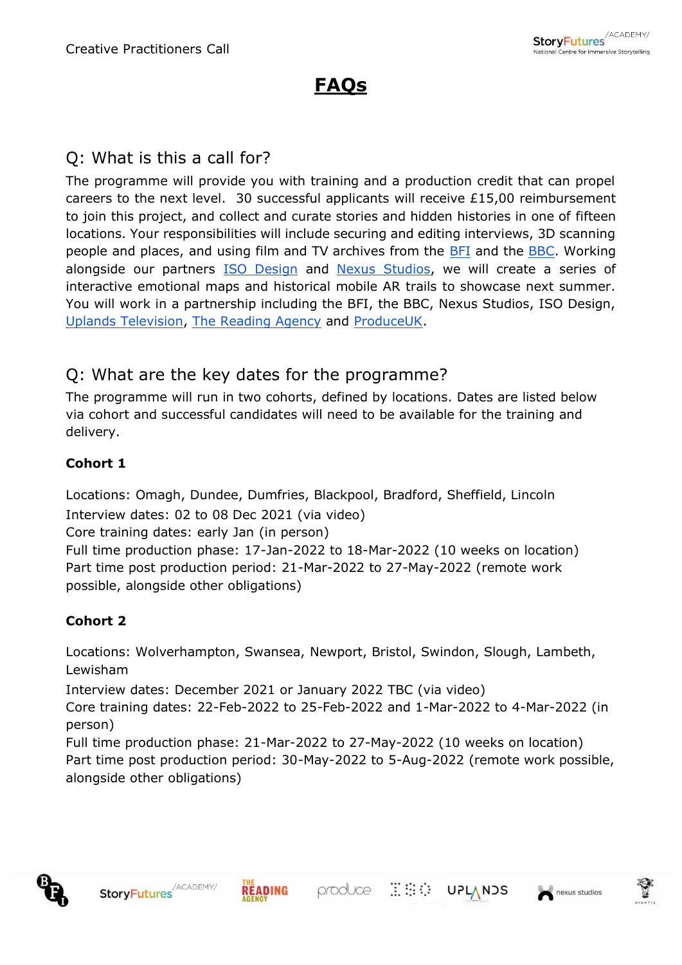# **FAQs**

### Q: What is this a call for?

The programme will provide you with training and a production credit that can propel careers to the next level. 30 successful applicants will receive £15,00 reimbursement to join this project, and collect and curate stories and hidden histories in one of fifteen locations. Your responsibilities will include securing and editing interviews, 3D scanning people and places, and using film and TV archives from the **BFI** and the **BBC**. Working alongside our partners [ISO Design](https://isodesign.co.uk/) and [Nexus Studios,](https://nexusstudios.com/) we will create a series of interactive emotional maps and historical mobile AR trails to showcase next summer. You will work in a partnership including the BFI, the BBC, Nexus Studios, ISO Design, [Uplands Television,](http://www.uplands-tv.com/) [The Reading Agency](https://readingagency.org.uk/) and [ProduceUK.](http://www.produceuk.com/)

#### Q: What are the key dates for the programme?

The programme will run in two cohorts, defined by locations. Dates are listed below via cohort and successful candidates will need to be available for the training and delivery.

#### **Cohort 1**

Locations: Omagh, Dundee, Dumfries, Blackpool, Bradford, Sheffield, Lincoln Interview dates: 02 to 08 Dec 2021 (via video) Core training dates: early Jan (in person) Full time production phase: 17-Jan-2022 to 18-Mar-2022 (10 weeks on location) Part time post production period: 21-Mar-2022 to 27-May-2022 (remote work possible, alongside other obligations)

#### **Cohort 2**

Locations: Wolverhampton, Swansea, Newport, Bristol, Swindon, Slough, Lambeth, Lewisham

Interview dates: December 2021 or January 2022 TBC (via video)

Core training dates: 22-Feb-2022 to 25-Feb-2022 and 1-Mar-2022 to 4-Mar-2022 (in person)

Full time production phase: 21-Mar-2022 to 27-May-2022 (10 weeks on location) Part time post production period: 30-May-2022 to 5-Aug-2022 (remote work possible, alongside other obligations)







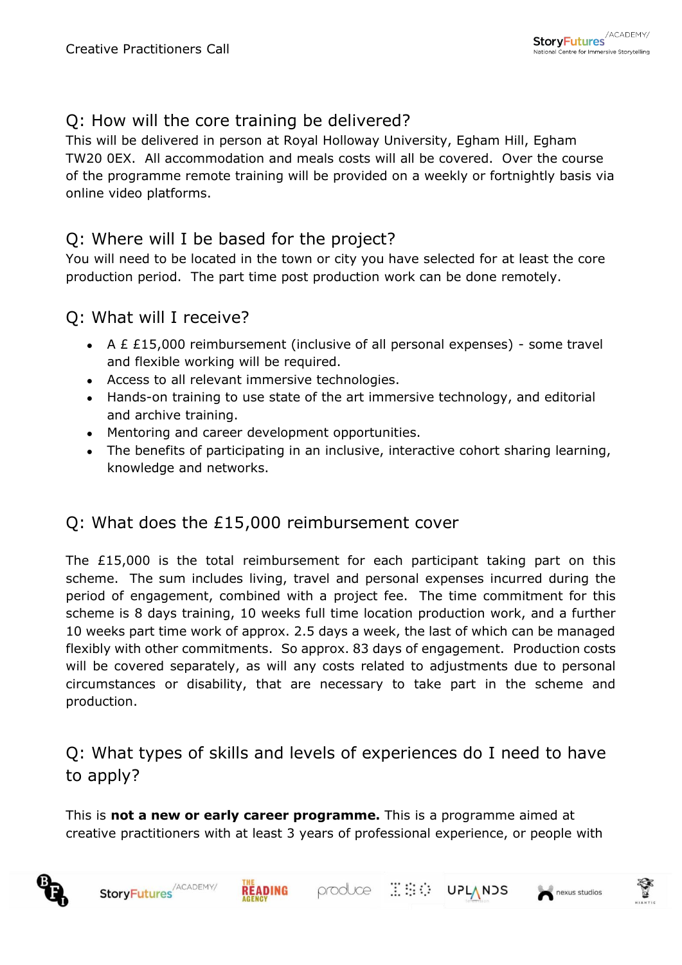## Q: How will the core training be delivered?

This will be delivered in person at Royal Holloway University, Egham Hill, Egham TW20 0EX. All accommodation and meals costs will all be covered. Over the course of the programme remote training will be provided on a weekly or fortnightly basis via online video platforms.

#### Q: Where will I be based for the project?

You will need to be located in the town or city you have selected for at least the core production period. The part time post production work can be done remotely.

#### Q: What will I receive?

- A £ £15,000 reimbursement (inclusive of all personal expenses) some travel and flexible working will be required.
- Access to all relevant immersive technologies.
- Hands-on training to use state of the art immersive technology, and editorial and archive training.
- Mentoring and career development opportunities.
- The benefits of participating in an inclusive, interactive cohort sharing learning, knowledge and networks.

#### Q: What does the £15,000 reimbursement cover

The £15,000 is the total reimbursement for each participant taking part on this scheme. The sum includes living, travel and personal expenses incurred during the period of engagement, combined with a project fee. The time commitment for this scheme is 8 days training, 10 weeks full time location production work, and a further 10 weeks part time work of approx. 2.5 days a week, the last of which can be managed flexibly with other commitments. So approx. 83 days of engagement. Production costs will be covered separately, as will any costs related to adjustments due to personal circumstances or disability, that are necessary to take part in the scheme and production.

Q: What types of skills and levels of experiences do I need to have to apply?

This is **not a new or early career programme.** This is a programme aimed at creative practitioners with at least 3 years of professional experience, or people with

produce **ESC**: UPLANDS



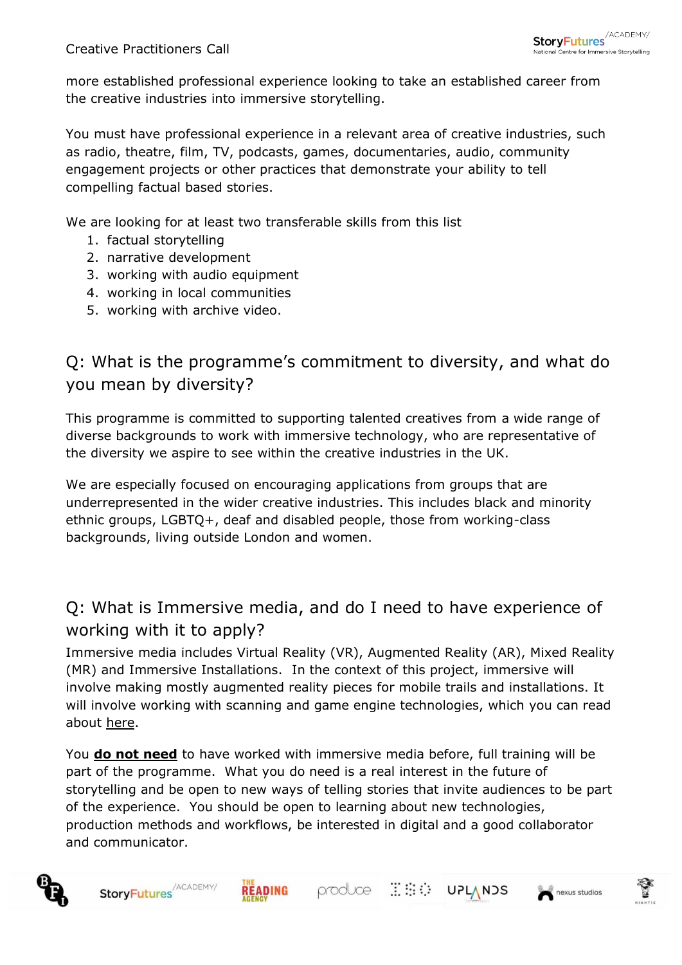more established professional experience looking to take an established career from the creative industries into immersive storytelling.

You must have professional experience in a relevant area of creative industries, such as radio, theatre, film, TV, podcasts, games, documentaries, audio, community engagement projects or other practices that demonstrate your ability to tell compelling factual based stories.

We are looking for at least two transferable skills from this list

- 1. factual storytelling
- 2. narrative development
- 3. working with audio equipment
- 4. working in local communities
- 5. working with archive video.

# Q: What is the programme's commitment to diversity, and what do you mean by diversity?

This programme is committed to supporting talented creatives from a wide range of diverse backgrounds to work with immersive technology, who are representative of the diversity we aspire to see within the creative industries in the UK.

We are especially focused on encouraging applications from groups that are underrepresented in the wider creative industries. This includes black and minority ethnic groups, LGBTQ+, deaf and disabled people, those from working-class backgrounds, living outside London and women.

# Q: What is Immersive media, and do I need to have experience of working with it to apply?

Immersive media includes Virtual Reality (VR), Augmented Reality (AR), Mixed Reality (MR) and Immersive Installations. In the context of this project, immersive will involve making mostly augmented reality pieces for mobile trails and installations. It will involve working with scanning and game engine technologies, which you can read about [here.](https://www.storyfutures.com/news/skills-report)

You **do not need** to have worked with immersive media before, full training will be part of the programme. What you do need is a real interest in the future of storytelling and be open to new ways of telling stories that invite audiences to be part of the experience. You should be open to learning about new technologies, production methods and workflows, be interested in digital and a good collaborator and communicator.